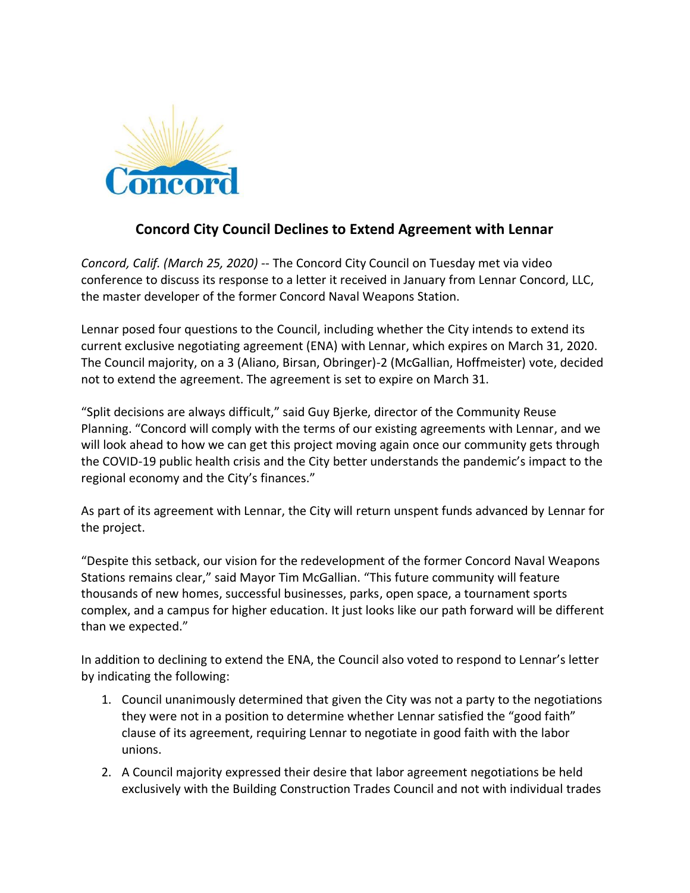

## **Concord City Council Declines to Extend Agreement with Lennar**

*Concord, Calif. (March 25, 2020)* -- The Concord City Council on Tuesday met via video conference to discuss its response to a letter it received in January from Lennar Concord, LLC, the master developer of the former Concord Naval Weapons Station.

Lennar posed four questions to the Council, including whether the City intends to extend its current exclusive negotiating agreement (ENA) with Lennar, which expires on March 31, 2020. The Council majority, on a 3 (Aliano, Birsan, Obringer)-2 (McGallian, Hoffmeister) vote, decided not to extend the agreement. The agreement is set to expire on March 31.

"Split decisions are always difficult," said Guy Bjerke, director of the Community Reuse Planning. "Concord will comply with the terms of our existing agreements with Lennar, and we will look ahead to how we can get this project moving again once our community gets through the COVID-19 public health crisis and the City better understands the pandemic's impact to the regional economy and the City's finances."

As part of its agreement with Lennar, the City will return unspent funds advanced by Lennar for the project.

"Despite this setback, our vision for the redevelopment of the former Concord Naval Weapons Stations remains clear," said Mayor Tim McGallian. "This future community will feature thousands of new homes, successful businesses, parks, open space, a tournament sports complex, and a campus for higher education. It just looks like our path forward will be different than we expected."

In addition to declining to extend the ENA, the Council also voted to respond to Lennar's letter by indicating the following:

- 1. Council unanimously determined that given the City was not a party to the negotiations they were not in a position to determine whether Lennar satisfied the "good faith" clause of its agreement, requiring Lennar to negotiate in good faith with the labor unions.
- 2. A Council majority expressed their desire that labor agreement negotiations be held exclusively with the Building Construction Trades Council and not with individual trades